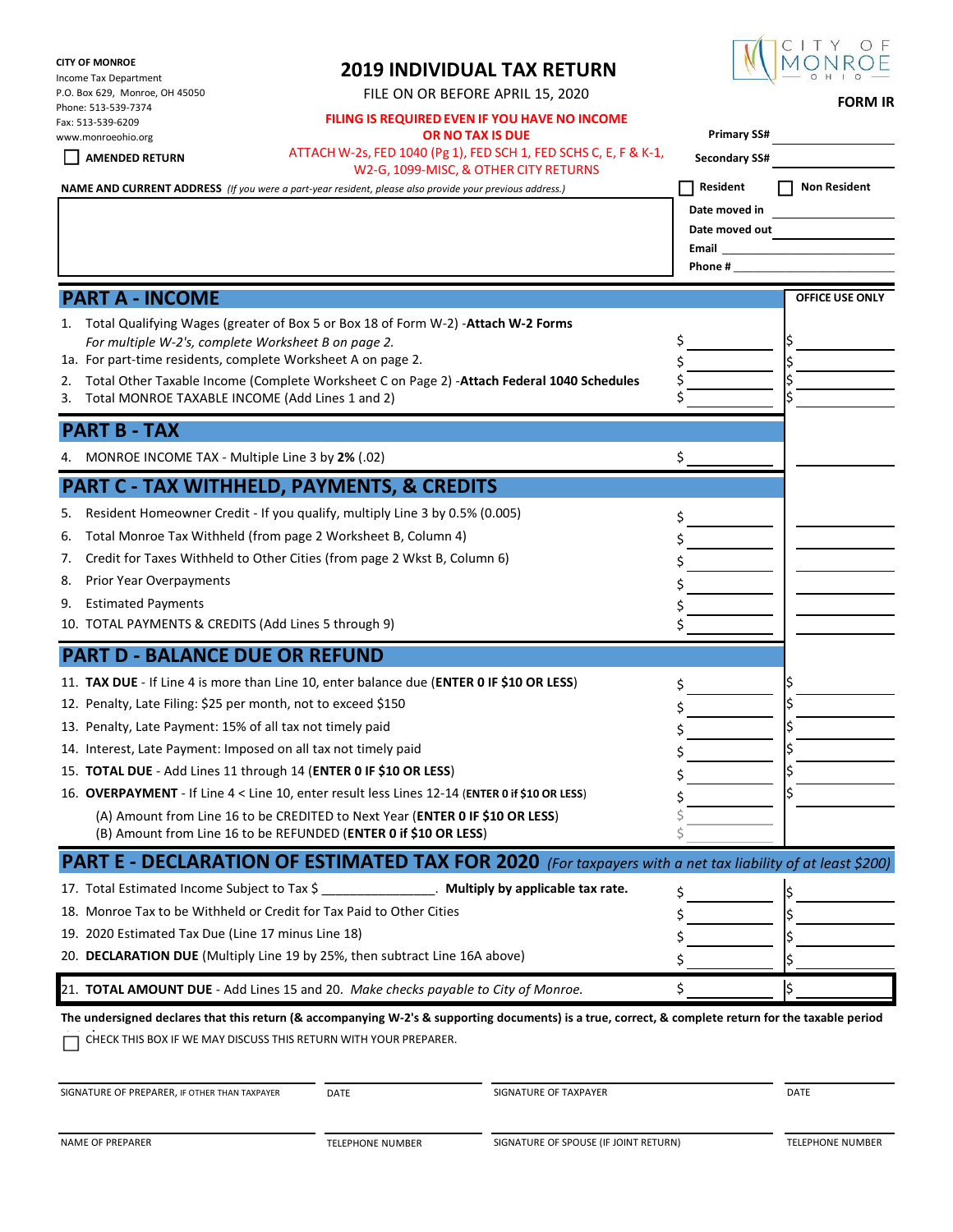#### **CITY OF MONROE**

Income Tax Department P.O. Box 629, Monroe, OH 45050  $P_1 = 513.539 - 737$ Fax: 513-539-6209

# **2019 INDIVIDUAL TAX RETURN**

FILE ON OR BEFORE APRIL 15, 2020 **FORM IR**



| Phone: 513-539-7374<br>Fax: 513-539-6209<br>www.monroeohio.org<br><b>AMENDED RETURN</b>                                                                                                      | FILING IS REQUIRED EVEN IF YOU HAVE NO INCOME<br>OR NO TAX IS DUE<br>ATTACH W-2s, FED 1040 (Pg 1), FED SCH 1, FED SCHS C, E, F & K-1,                                                                                                                                                                                                                                                                                 | <b>Primary SS#</b><br><b>Secondary SS#</b>                      |                     |
|----------------------------------------------------------------------------------------------------------------------------------------------------------------------------------------------|-----------------------------------------------------------------------------------------------------------------------------------------------------------------------------------------------------------------------------------------------------------------------------------------------------------------------------------------------------------------------------------------------------------------------|-----------------------------------------------------------------|---------------------|
|                                                                                                                                                                                              | W2-G, 1099-MISC, & OTHER CITY RETURNS<br><b>NAME AND CURRENT ADDRESS</b> (If you were a part-year resident, please also provide your previous address.)                                                                                                                                                                                                                                                               | Resident<br>Date moved in<br>Date moved out<br>Email<br>Phone # | <b>Non Resident</b> |
| <b>PART A - INCOME</b>                                                                                                                                                                       |                                                                                                                                                                                                                                                                                                                                                                                                                       |                                                                 | OFFICE USE ONLY     |
| 1.<br>For multiple W-2's, complete Worksheet B on page 2.<br>1a. For part-time residents, complete Worksheet A on page 2.<br>2.<br>Total MONROE TAXABLE INCOME (Add Lines 1 and 2)<br>3.     | Total Qualifying Wages (greater of Box 5 or Box 18 of Form W-2) - Attach W-2 Forms<br>Total Other Taxable Income (Complete Worksheet C on Page 2) - Attach Federal 1040 Schedules                                                                                                                                                                                                                                     | \$                                                              |                     |
| <b>PART B - TAX</b>                                                                                                                                                                          |                                                                                                                                                                                                                                                                                                                                                                                                                       |                                                                 |                     |
| MONROE INCOME TAX - Multiple Line 3 by 2% (.02)                                                                                                                                              |                                                                                                                                                                                                                                                                                                                                                                                                                       | Ś                                                               |                     |
|                                                                                                                                                                                              | <b>PART C - TAX WITHHELD, PAYMENTS, &amp; CREDITS</b>                                                                                                                                                                                                                                                                                                                                                                 |                                                                 |                     |
| 5.<br>6.<br>7.<br>Prior Year Overpayments<br>8.<br><b>Estimated Payments</b><br>9.<br>10. TOTAL PAYMENTS & CREDITS (Add Lines 5 through 9)                                                   | Resident Homeowner Credit - If you qualify, multiply Line 3 by 0.5% (0.005)<br>Total Monroe Tax Withheld (from page 2 Worksheet B, Column 4)<br>Credit for Taxes Withheld to Other Cities (from page 2 Wkst B, Column 6)                                                                                                                                                                                              | \$                                                              |                     |
| <b>PART D - BALANCE DUE OR REFUND</b>                                                                                                                                                        |                                                                                                                                                                                                                                                                                                                                                                                                                       |                                                                 |                     |
| 12. Penalty, Late Filing: \$25 per month, not to exceed \$150<br>13. Penalty, Late Payment: 15% of all tax not timely paid<br>14. Interest, Late Payment: Imposed on all tax not timely paid | 11. TAX DUE - If Line 4 is more than Line 10, enter balance due (ENTER 0 IF \$10 OR LESS)<br>15. TOTAL DUE - Add Lines 11 through 14 (ENTER 0 IF \$10 OR LESS)<br>16. OVERPAYMENT - If Line 4 < Line 10, enter result less Lines 12-14 (ENTER 0 if \$10 OR LESS)<br>(A) Amount from Line 16 to be CREDITED to Next Year (ENTER 0 IF \$10 OR LESS)<br>(B) Amount from Line 16 to be REFUNDED (ENTER 0 if \$10 OR LESS) | \$<br>Ś<br>Ş                                                    |                     |
|                                                                                                                                                                                              | <b>PART E - DECLARATION OF ESTIMATED TAX FOR 2020</b> (For taxpayers with a net tax liability of at least \$200)                                                                                                                                                                                                                                                                                                      |                                                                 |                     |
| 17. Total Estimated Income Subject to Tax \$<br>19. 2020 Estimated Tax Due (Line 17 minus Line 18)                                                                                           | . Multiply by applicable tax rate.<br>18. Monroe Tax to be Withheld or Credit for Tax Paid to Other Cities<br>20. DECLARATION DUE (Multiply Line 19 by 25%, then subtract Line 16A above)                                                                                                                                                                                                                             | \$                                                              |                     |
|                                                                                                                                                                                              | 21. TOTAL AMOUNT DUE - Add Lines 15 and 20. Make checks payable to City of Monroe.                                                                                                                                                                                                                                                                                                                                    | \$                                                              |                     |
|                                                                                                                                                                                              | The undersigned declares that this return (& accompanying W-2's & supporting documents) is a true, correct, & complete return for the taxable period<br>CHECK THIS BOX IF WE MAY DISCUSS THIS RETURN WITH YOUR PREPARER.                                                                                                                                                                                              |                                                                 |                     |

SIGNATURE OF PREPARER, IF OTHER THAN TAXPAYER BATE DATE SIGNATURE OF TAXPAYER SIGNATURE OF TAXPAYER

|--|--|